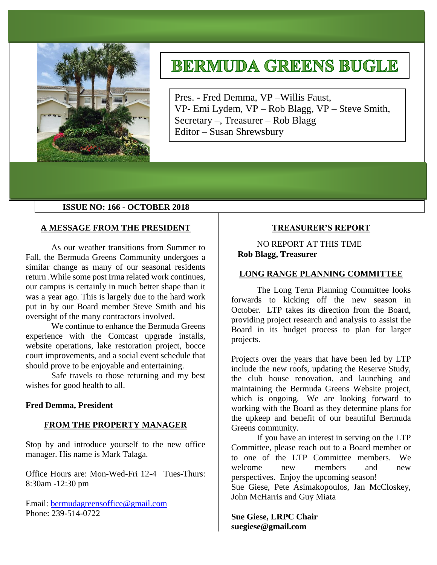

# **BERMUDA GREENS BUGLE**

Pres. - Fred Demma, VP –Willis Faust, VP- Emi Lydem, VP – Rob Blagg, VP – Steve Smith, Secretary –, Treasurer – Rob Blagg Editor – Susan Shrewsbury

# **ISSUE NO: 166 - OCTOBER 2018**

# **A MESSAGE FROM THE PRESIDENT**

As our weather transitions from Summer to Fall, the Bermuda Greens Community undergoes a similar change as many of our seasonal residents return .While some post Irma related work continues, our campus is certainly in much better shape than it was a year ago. This is largely due to the hard work put in by our Board member Steve Smith and his oversight of the many contractors involved.

We continue to enhance the Bermuda Greens experience with the Comcast upgrade installs, website operations, lake restoration project, bocce court improvements, and a social event schedule that should prove to be enjoyable and entertaining.

Safe travels to those returning and my best wishes for good health to all.

#### **Fred Demma, President**

#### **FROM THE PROPERTY MANAGER**

Stop by and introduce yourself to the new office manager. His name is Mark Talaga.

Office Hours are: Mon-Wed-Fri 12-4 Tues-Thurs: 8:30am -12:30 pm

Email: [bermudagreensoffice@gmail.com](mailto:bermudagreensoffice@gmail.com) Phone: 239-514-0722

# **TREASURER'S REPORT**

NO REPORT AT THIS TIME **Rob Blagg, Treasurer** 

# **LONG RANGE PLANNING COMMITTEE**

The Long Term Planning Committee looks forwards to kicking off the new season in October. LTP takes its direction from the Board, providing project research and analysis to assist the Board in its budget process to plan for larger projects.

Projects over the years that have been led by LTP include the new roofs, updating the Reserve Study, the club house renovation, and launching and maintaining the Bermuda Greens Website project, which is ongoing. We are looking forward to working with the Board as they determine plans for the upkeep and benefit of our beautiful Bermuda Greens community.

If you have an interest in serving on the LTP Committee, please reach out to a Board member or to one of the LTP Committee members. We welcome new members and new perspectives. Enjoy the upcoming season! Sue Giese, Pete Asimakopoulos, Jan McCloskey, John McHarris and Guy Miata

**Sue Giese, LRPC Chair suegiese@gmail.com**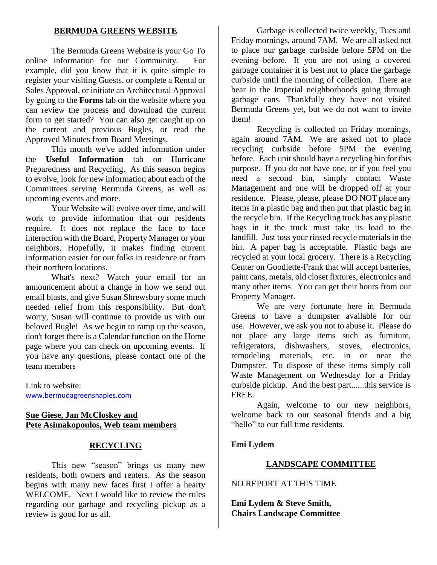# **BERMUDA GREENS WEBSITE**

The Bermuda Greens Website is your Go To online information for our Community. For example, did you know that it is quite simple to register your visiting Guests, or complete a Rental or Sales Approval, or initiate an Architectural Approval by going to the **Forms** tab on the website where you can review the process and download the current form to get started? You can also get caught up on the current and previous Bugles, or read the Approved Minutes from Board Meetings.

This month we've added information under the **Useful Information** tab on Hurricane Preparedness and Recycling. As this season begins to evolve, look for new information about each of the Committees serving Bermuda Greens, as well as upcoming events and more.

Your Website will evolve over time, and will work to provide information that our residents require. It does not replace the face to face interaction with the Board, Property Manager or your neighbors. Hopefully, it makes finding current information easier for our folks in residence or from their northern locations.

What's next? Watch your email for an announcement about a change in how we send out email blasts, and give Susan Shrewsbury some much needed relief from this responsibility. But don't worry, Susan will continue to provide us with our beloved Bugle! As we begin to ramp up the season, don't forget there is a Calendar function on the Home page where you can check on upcoming events. If you have any questions, please contact one of the team members

Link to website: [www.bermudagreensnaples.com](http://www.bermudagreensnaples.com/)

# **Sue Giese, Jan McCloskey and Pete Asimakopoulos, Web team members**

# **RECYCLING**

This new "season" brings us many new residents, both owners and renters. As the season begins with many new faces first I offer a hearty WELCOME. Next I would like to review the rules regarding our garbage and recycling pickup as a review is good for us all.

Garbage is collected twice weekly, Tues and Friday mornings, around 7AM. We are all asked not to place our garbage curbside before 5PM on the evening before. If you are not using a covered garbage container it is best not to place the garbage curbside until the morning of collection. There are bear in the Imperial neighborhoods going through garbage cans. Thankfully they have not visited Bermuda Greens yet, but we do not want to invite them!

Recycling is collected on Friday mornings, again around 7AM. We are asked not to place recycling curbside before 5PM the evening before. Each unit should have a recycling bin for this purpose. If you do not have one, or if you feel you need a second bin, simply contact Waste Management and one will be dropped off at your residence. Please, please, please DO NOT place any items in a plastic bag and then put that plastic bag in the recycle bin. If the Recycling truck has any plastic bags in it the truck must take its load to the landfill. Just toss your rinsed recycle materials in the bin. A paper bag is acceptable. Plastic bags are recycled at your local grocery. There is a Recycling Center on Goodlette-Frank that will accept batteries, paint cans, metals, old closet fixtures, electronics and many other items. You can get their hours from our Property Manager.

We are very fortunate here in Bermuda Greens to have a dumpster available for our use. However, we ask you not to abuse it. Please do not place any large items such as furniture, refrigerators, dishwashers, stoves, electronics, remodeling materials, etc. in or near the Dumpster. To dispose of these items simply call Waste Management on Wednesday for a Friday curbside pickup. And the best part......this service is FREE.

Again, welcome to our new neighbors, welcome back to our seasonal friends and a big "hello" to our full time residents.

# **Emi Lydem**

# **LANDSCAPE COMMITTEE**

NO REPORT AT THIS TIME

**Emi Lydem & Steve Smith, Chairs Landscape Committee**